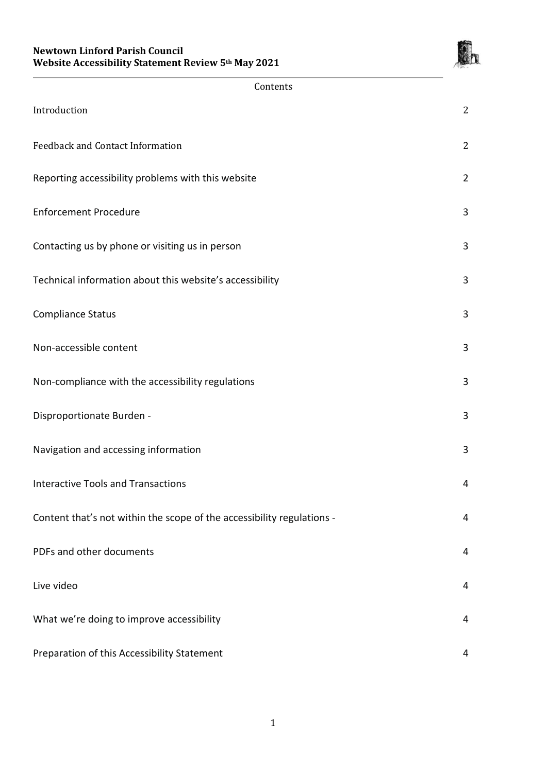

| Contents                                                               |                |
|------------------------------------------------------------------------|----------------|
| Introduction                                                           | $\overline{2}$ |
| <b>Feedback and Contact Information</b>                                | $\overline{2}$ |
| Reporting accessibility problems with this website                     | $\overline{2}$ |
| <b>Enforcement Procedure</b>                                           | 3              |
| Contacting us by phone or visiting us in person                        | 3              |
| Technical information about this website's accessibility               | 3              |
| <b>Compliance Status</b>                                               | 3              |
| Non-accessible content                                                 | 3              |
| Non-compliance with the accessibility regulations                      | 3              |
| Disproportionate Burden -                                              | 3              |
| Navigation and accessing information                                   | 3              |
| <b>Interactive Tools and Transactions</b>                              | 4              |
| Content that's not within the scope of the accessibility regulations - | 4              |
| PDFs and other documents                                               | 4              |
| Live video                                                             | $\overline{4}$ |
| What we're doing to improve accessibility                              | 4              |
| Preparation of this Accessibility Statement                            | 4              |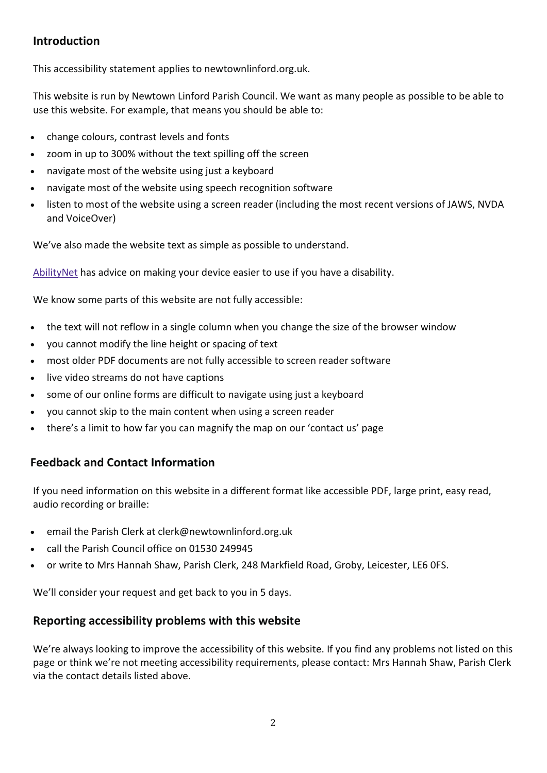# **Introduction**

This accessibility statement applies to newtownlinford.org.uk.

This website is run by Newtown Linford Parish Council. We want as many people as possible to be able to use this website. For example, that means you should be able to:

- change colours, contrast levels and fonts
- zoom in up to 300% without the text spilling off the screen
- navigate most of the website using just a keyboard
- navigate most of the website using speech recognition software
- listen to most of the website using a screen reader (including the most recent versions of JAWS, NVDA and VoiceOver)

We've also made the website text as simple as possible to understand.

[AbilityNet](https://mcmw.abilitynet.org.uk/) has advice on making your device easier to use if you have a disability.

We know some parts of this website are not fully accessible:

- the text will not reflow in a single column when you change the size of the browser window
- you cannot modify the line height or spacing of text
- most older PDF documents are not fully accessible to screen reader software
- live video streams do not have captions
- some of our online forms are difficult to navigate using just a keyboard
- you cannot skip to the main content when using a screen reader
- there's a limit to how far you can magnify the map on our 'contact us' page

# **Feedback and Contact Information**

If you need information on this website in a different format like accessible PDF, large print, easy read, audio recording or braille:

- email the Parish Clerk at clerk@newtownlinford.org.uk
- call the Parish Council office on 01530 249945
- or write to Mrs Hannah Shaw, Parish Clerk, 248 Markfield Road, Groby, Leicester, LE6 0FS.

We'll consider your request and get back to you in 5 days.

## **Reporting accessibility problems with this website**

We're always looking to improve the accessibility of this website. If you find any problems not listed on this page or think we're not meeting accessibility requirements, please contact: Mrs Hannah Shaw, Parish Clerk via the contact details listed above.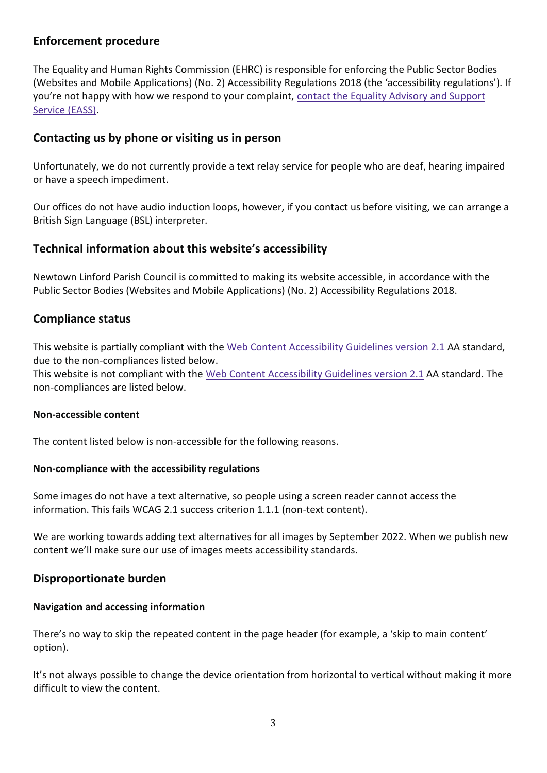# **Enforcement procedure**

The Equality and Human Rights Commission (EHRC) is responsible for enforcing the Public Sector Bodies (Websites and Mobile Applications) (No. 2) Accessibility Regulations 2018 (the 'accessibility regulations'). If you're not happy with how we respond to your complaint, contact the Equality [Advisory](https://www.equalityadvisoryservice.com/) and Support [Service](https://www.equalityadvisoryservice.com/) (EASS).

# **Contacting us by phone or visiting us in person**

Unfortunately, we do not currently provide a text relay service for people who are deaf, hearing impaired or have a speech impediment.

Our offices do not have audio induction loops, however, if you contact us before visiting, we can arrange a British Sign Language (BSL) interpreter.

# **Technical information about this website's accessibility**

Newtown Linford Parish Council is committed to making its website accessible, in accordance with the Public Sector Bodies (Websites and Mobile Applications) (No. 2) Accessibility Regulations 2018.

# **Compliance status**

This website is partially compliant with the Web Content [Accessibility](https://www.w3.org/TR/WCAG21/) Guidelines version 2.1 AA standard, due to the non-compliances listed below.

This website is not compliant with the Web Content [Accessibility](https://www.w3.org/TR/WCAG21/) Guidelines version 2.1 AA standard. The non-compliances are listed below.

## **Non-accessible content**

The content listed below is non-accessible for the following reasons.

## **Non-compliance with the accessibility regulations**

Some images do not have a text alternative, so people using a screen reader cannot access the information. This fails WCAG 2.1 success criterion 1.1.1 (non-text content).

We are working towards adding text alternatives for all images by September 2022. When we publish new content we'll make sure our use of images meets accessibility standards.

# **Disproportionate burden**

## **Navigation and accessing information**

There's no way to skip the repeated content in the page header (for example, a 'skip to main content' option).

It's not always possible to change the device orientation from horizontal to vertical without making it more difficult to view the content.